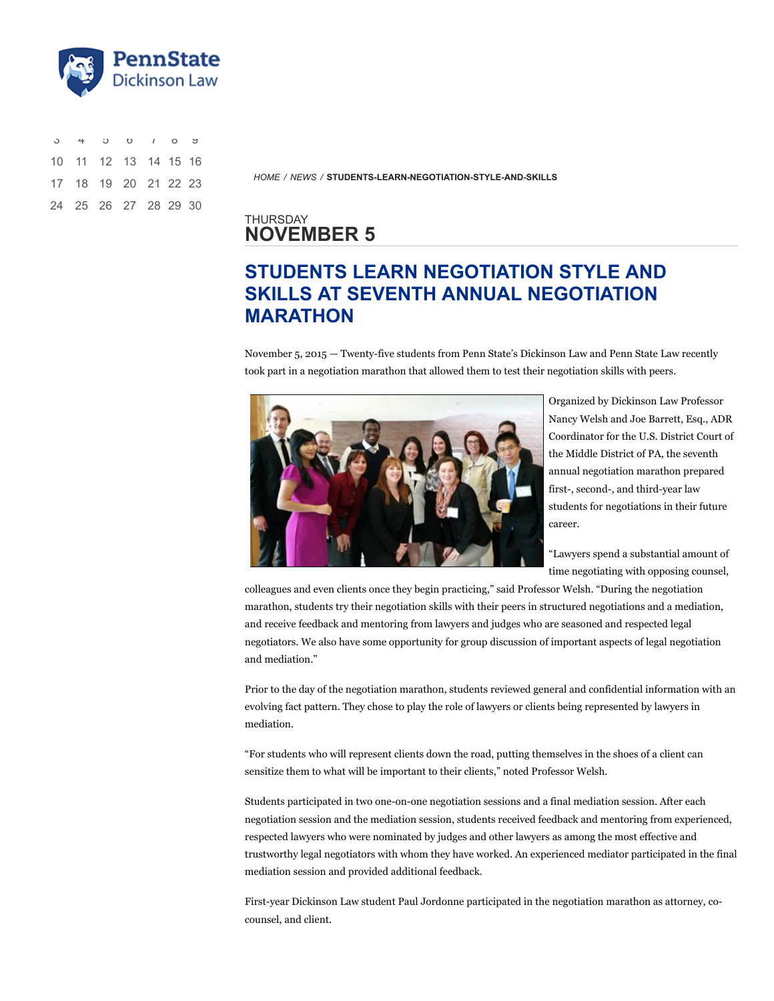

| $3 + 3 0 1 0 3$      |  |  |  |
|----------------------|--|--|--|
| 10 11 12 13 14 15 16 |  |  |  |
| 17 18 19 20 21 22 23 |  |  |  |
| 24 25 26 27 28 29 30 |  |  |  |

*[HOME](https://w1.dickinsonlaw.psu.edu/) / [NEWS](https://w1.dickinsonlaw.psu.edu/news) /* **[STUDENTS-LEARN-NEGOTIATION-STYLE-AND-SKILLS](https://w1.dickinsonlaw.psu.edu/news/students-learn-negotiation-style-and-skills)**

## THURSDAY **NOVEMBER 5**

## **STUDENTS LEARN NEGOTIATION STYLE AND SKILLS AT SEVENTH ANNUAL NEGOTIATION MARATHON**

November 5, 2015 — Twenty-five students from Penn State's Dickinson Law and Penn State Law recently took part in a negotiation marathon that allowed them to test their negotiation skills with peers.



Organized by Dickinson Law Professor Nancy Welsh and Joe Barrett, Esq., ADR Coordinator for the U.S. District Court of the Middle District of PA, the seventh annual negotiation marathon prepared first-, second-, and third-year law students for negotiations in their future career.

"Lawyers spend a substantial amount of time negotiating with opposing counsel,

colleagues and even clients once they begin practicing," said Professor Welsh. "During the negotiation marathon, students try their negotiation skills with their peers in structured negotiations and a mediation, and receive feedback and mentoring from lawyers and judges who are seasoned and respected legal negotiators. We also have some opportunity for group discussion of important aspects of legal negotiation and mediation."

Prior to the day of the negotiation marathon, students reviewed general and confidential information with an evolving fact pattern. They chose to play the role of lawyers or clients being represented by lawyers in mediation.

"For students who will represent clients down the road, putting themselves in the shoes of a client can sensitize them to what will be important to their clients," noted Professor Welsh.

Students participated in two one-on-one negotiation sessions and a final mediation session. After each negotiation session and the mediation session, students received feedback and mentoring from experienced, respected lawyers who were nominated by judges and other lawyers as among the most effective and trustworthy legal negotiators with whom they have worked. An experienced mediator participated in the final mediation session and provided additional feedback.

First-year Dickinson Law student Paul Jordonne participated in the negotiation marathon as attorney, cocounsel, and client.